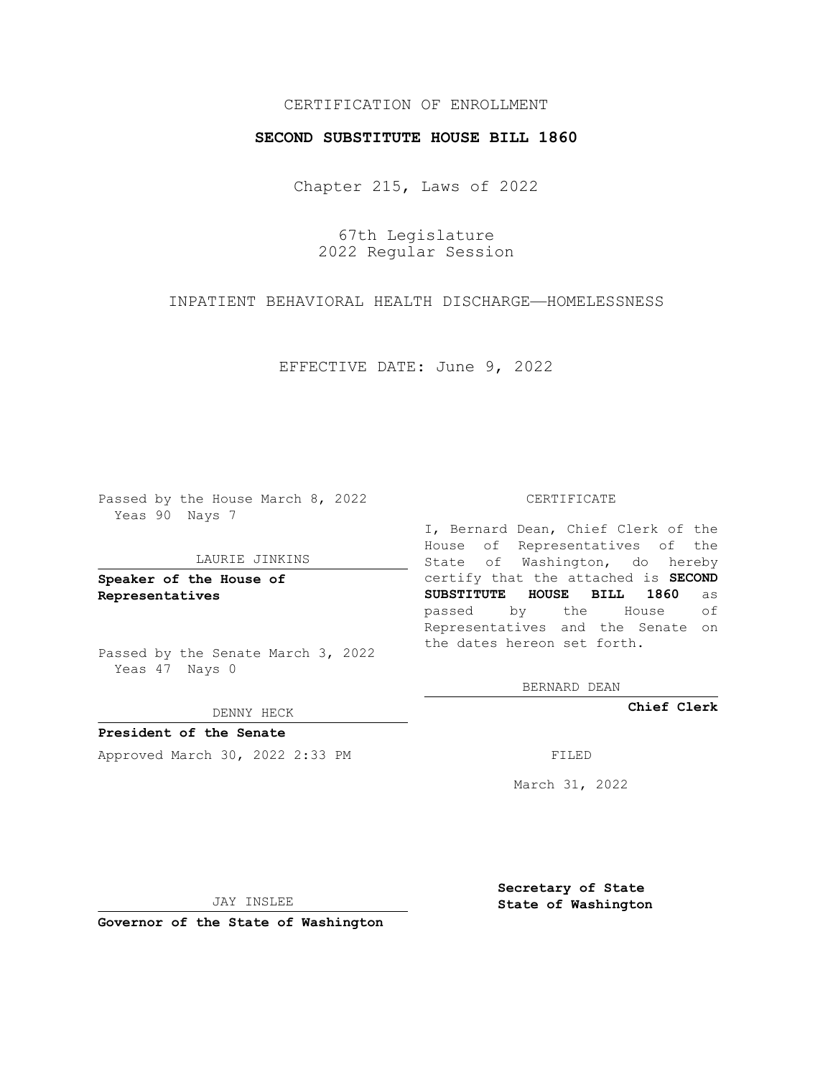# CERTIFICATION OF ENROLLMENT

## **SECOND SUBSTITUTE HOUSE BILL 1860**

Chapter 215, Laws of 2022

67th Legislature 2022 Regular Session

INPATIENT BEHAVIORAL HEALTH DISCHARGE—HOMELESSNESS

EFFECTIVE DATE: June 9, 2022

Passed by the House March 8, 2022 Yeas 90 Nays 7

#### LAURIE JINKINS

**Speaker of the House of Representatives**

Passed by the Senate March 3, 2022 Yeas 47 Nays 0

#### DENNY HECK

**President of the Senate** Approved March 30, 2022 2:33 PM

#### CERTIFICATE

I, Bernard Dean, Chief Clerk of the House of Representatives of the State of Washington, do hereby certify that the attached is **SECOND SUBSTITUTE HOUSE BILL 1860** as passed by the House of Representatives and the Senate on the dates hereon set forth.

BERNARD DEAN

**Chief Clerk**

March 31, 2022

JAY INSLEE

**Governor of the State of Washington**

**Secretary of State State of Washington**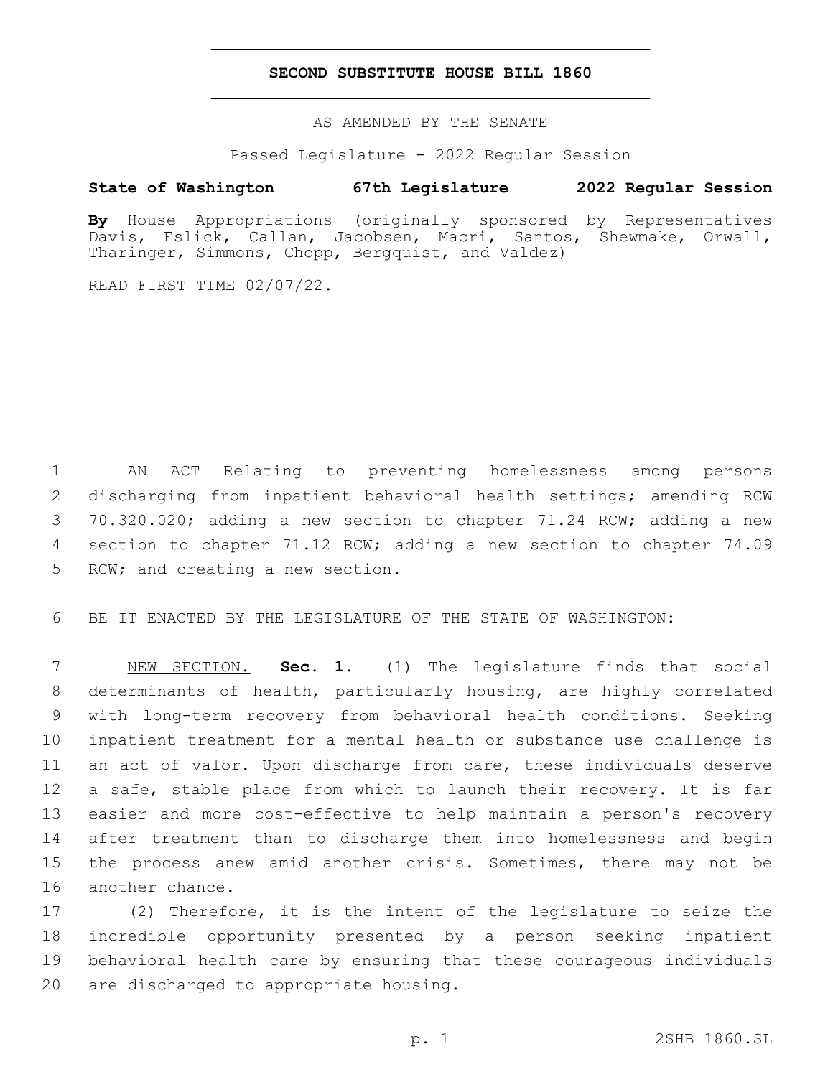## **SECOND SUBSTITUTE HOUSE BILL 1860**

AS AMENDED BY THE SENATE

Passed Legislature - 2022 Regular Session

# **State of Washington 67th Legislature 2022 Regular Session**

**By** House Appropriations (originally sponsored by Representatives Davis, Eslick, Callan, Jacobsen, Macri, Santos, Shewmake, Orwall, Tharinger, Simmons, Chopp, Bergquist, and Valdez)

READ FIRST TIME 02/07/22.

 AN ACT Relating to preventing homelessness among persons discharging from inpatient behavioral health settings; amending RCW 70.320.020; adding a new section to chapter 71.24 RCW; adding a new section to chapter 71.12 RCW; adding a new section to chapter 74.09 5 RCW; and creating a new section.

BE IT ENACTED BY THE LEGISLATURE OF THE STATE OF WASHINGTON:

 NEW SECTION. **Sec. 1.** (1) The legislature finds that social determinants of health, particularly housing, are highly correlated with long-term recovery from behavioral health conditions. Seeking inpatient treatment for a mental health or substance use challenge is an act of valor. Upon discharge from care, these individuals deserve a safe, stable place from which to launch their recovery. It is far easier and more cost-effective to help maintain a person's recovery after treatment than to discharge them into homelessness and begin the process anew amid another crisis. Sometimes, there may not be another chance.

 (2) Therefore, it is the intent of the legislature to seize the incredible opportunity presented by a person seeking inpatient behavioral health care by ensuring that these courageous individuals 20 are discharged to appropriate housing.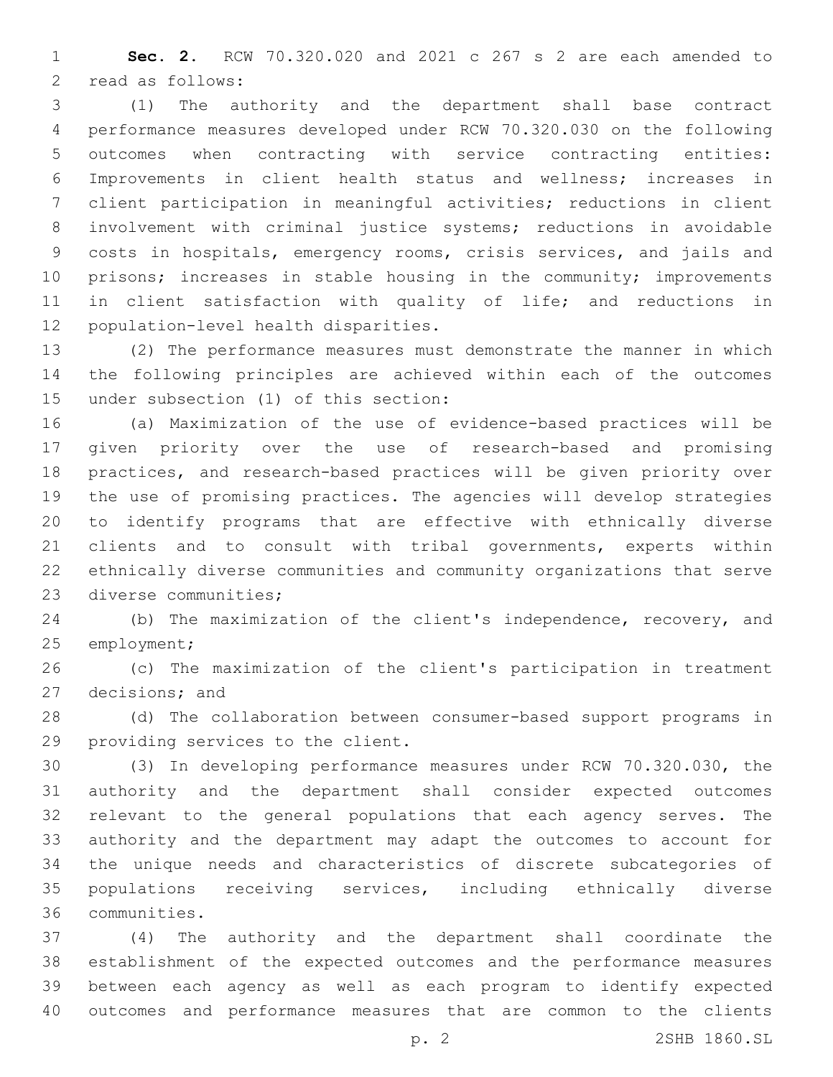**Sec. 2.** RCW 70.320.020 and 2021 c 267 s 2 are each amended to 2 read as follows:

 (1) The authority and the department shall base contract performance measures developed under RCW 70.320.030 on the following outcomes when contracting with service contracting entities: Improvements in client health status and wellness; increases in client participation in meaningful activities; reductions in client involvement with criminal justice systems; reductions in avoidable costs in hospitals, emergency rooms, crisis services, and jails and 10 prisons; increases in stable housing in the community; improvements in client satisfaction with quality of life; and reductions in 12 population-level health disparities.

 (2) The performance measures must demonstrate the manner in which the following principles are achieved within each of the outcomes 15 under subsection (1) of this section:

 (a) Maximization of the use of evidence-based practices will be given priority over the use of research-based and promising practices, and research-based practices will be given priority over the use of promising practices. The agencies will develop strategies to identify programs that are effective with ethnically diverse clients and to consult with tribal governments, experts within ethnically diverse communities and community organizations that serve 23 diverse communities;

 (b) The maximization of the client's independence, recovery, and 25 employment;

 (c) The maximization of the client's participation in treatment 27 decisions; and

 (d) The collaboration between consumer-based support programs in 29 providing services to the client.

 (3) In developing performance measures under RCW 70.320.030, the authority and the department shall consider expected outcomes relevant to the general populations that each agency serves. The authority and the department may adapt the outcomes to account for the unique needs and characteristics of discrete subcategories of populations receiving services, including ethnically diverse communities.36

 (4) The authority and the department shall coordinate the establishment of the expected outcomes and the performance measures between each agency as well as each program to identify expected outcomes and performance measures that are common to the clients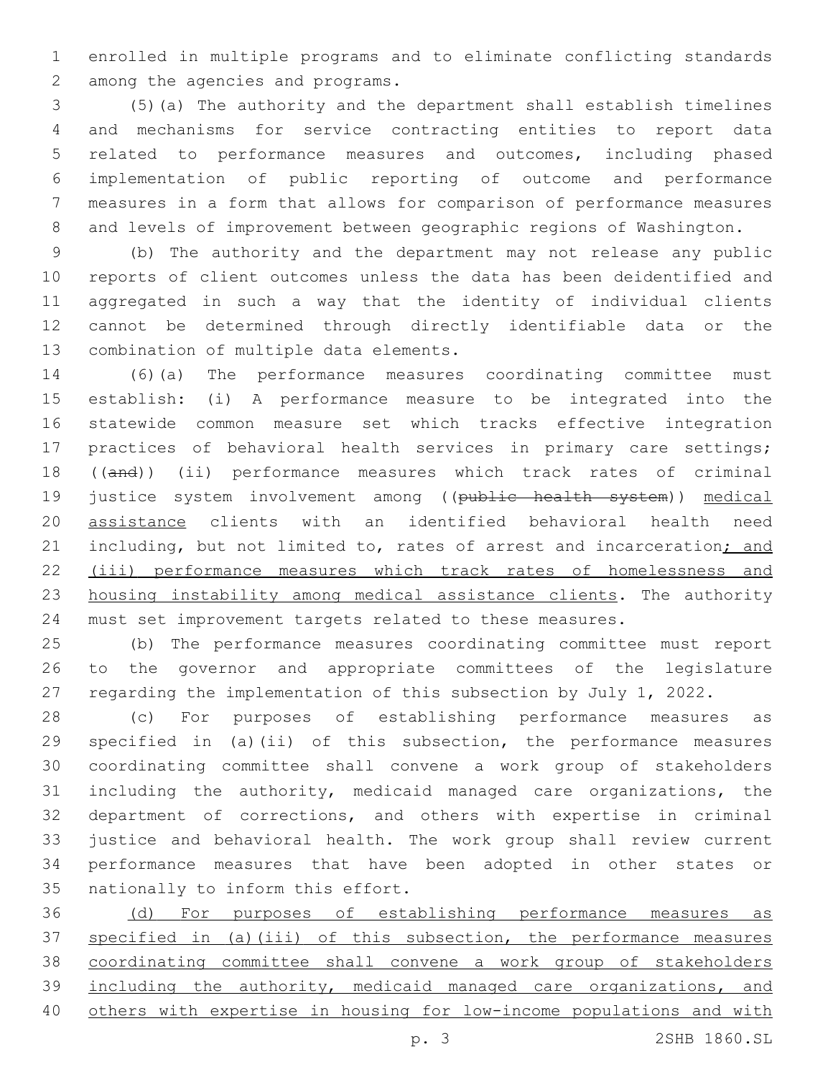enrolled in multiple programs and to eliminate conflicting standards 2 among the agencies and programs.

 (5)(a) The authority and the department shall establish timelines and mechanisms for service contracting entities to report data related to performance measures and outcomes, including phased implementation of public reporting of outcome and performance measures in a form that allows for comparison of performance measures and levels of improvement between geographic regions of Washington.

 (b) The authority and the department may not release any public reports of client outcomes unless the data has been deidentified and aggregated in such a way that the identity of individual clients cannot be determined through directly identifiable data or the 13 combination of multiple data elements.

 (6)(a) The performance measures coordinating committee must establish: (i) A performance measure to be integrated into the statewide common measure set which tracks effective integration practices of behavioral health services in primary care settings; 18 ((and)) (ii) performance measures which track rates of criminal 19 justice system involvement among ((public health system)) medical assistance clients with an identified behavioral health need 21 including, but not limited to, rates of arrest and incarceration; and (iii) performance measures which track rates of homelessness and housing instability among medical assistance clients. The authority must set improvement targets related to these measures.

 (b) The performance measures coordinating committee must report to the governor and appropriate committees of the legislature regarding the implementation of this subsection by July 1, 2022.

 (c) For purposes of establishing performance measures as specified in (a)(ii) of this subsection, the performance measures coordinating committee shall convene a work group of stakeholders including the authority, medicaid managed care organizations, the department of corrections, and others with expertise in criminal justice and behavioral health. The work group shall review current performance measures that have been adopted in other states or 35 nationally to inform this effort.

 (d) For purposes of establishing performance measures as specified in (a)(iii) of this subsection, the performance measures coordinating committee shall convene a work group of stakeholders including the authority, medicaid managed care organizations, and others with expertise in housing for low-income populations and with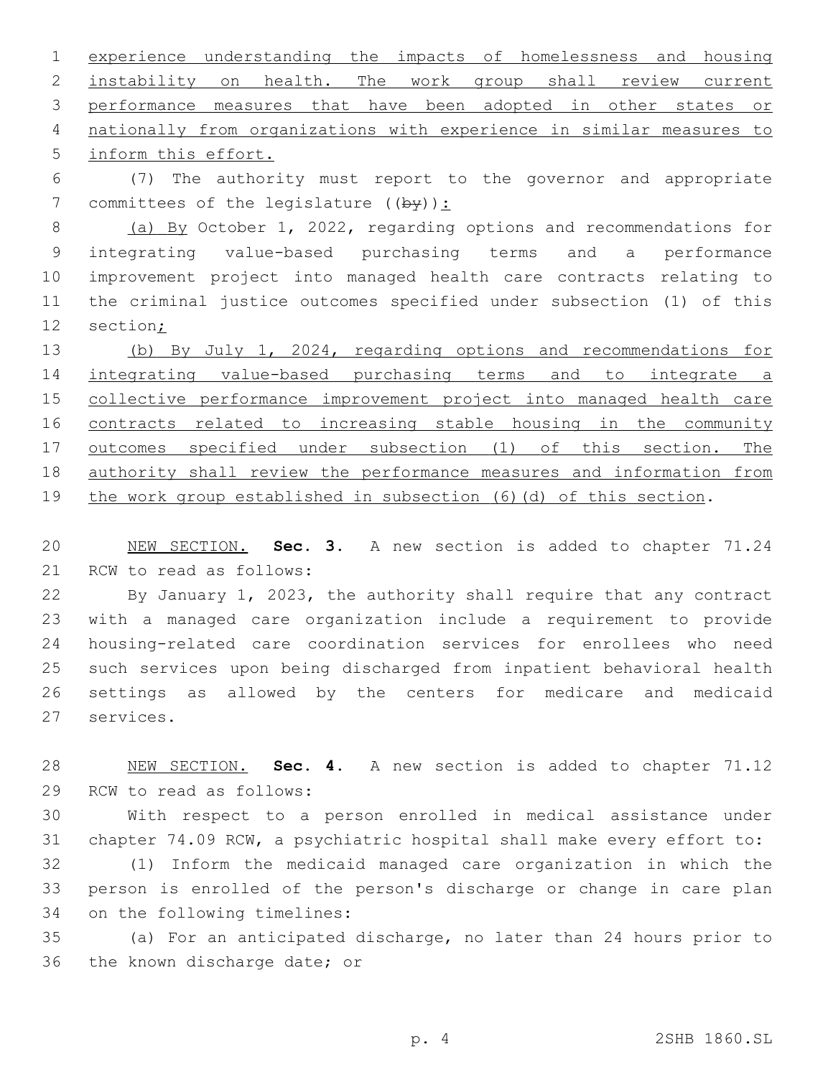experience understanding the impacts of homelessness and housing instability on health. The work group shall review current performance measures that have been adopted in other states or nationally from organizations with experience in similar measures to 5 inform this effort.

 (7) The authority must report to the governor and appropriate 7 committees of the legislature  $((by))$ :

 (a) By October 1, 2022, regarding options and recommendations for integrating value-based purchasing terms and a performance improvement project into managed health care contracts relating to the criminal justice outcomes specified under subsection (1) of this section;

 (b) By July 1, 2024, regarding options and recommendations for integrating value-based purchasing terms and to integrate a collective performance improvement project into managed health care contracts related to increasing stable housing in the community outcomes specified under subsection (1) of this section. The authority shall review the performance measures and information from the work group established in subsection (6)(d) of this section.

 NEW SECTION. **Sec. 3.** A new section is added to chapter 71.24 21 RCW to read as follows:

 By January 1, 2023, the authority shall require that any contract with a managed care organization include a requirement to provide housing-related care coordination services for enrollees who need such services upon being discharged from inpatient behavioral health settings as allowed by the centers for medicare and medicaid 27 services.

 NEW SECTION. **Sec. 4.** A new section is added to chapter 71.12 29 RCW to read as follows:

 With respect to a person enrolled in medical assistance under chapter 74.09 RCW, a psychiatric hospital shall make every effort to: (1) Inform the medicaid managed care organization in which the person is enrolled of the person's discharge or change in care plan 34 on the following timelines:

 (a) For an anticipated discharge, no later than 24 hours prior to 36 the known discharge date; or